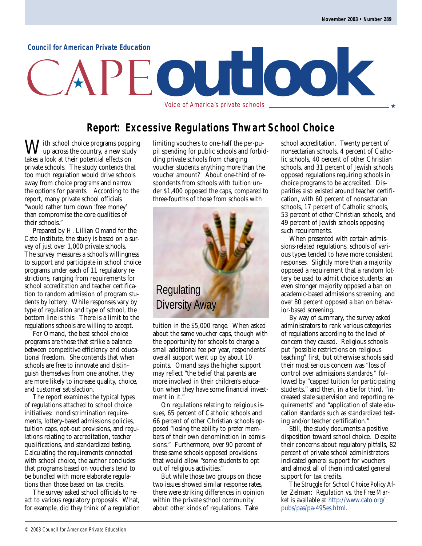#### **Council for American Private Education**

# **outlook** Voice of America's private schools ★

**Report: Excessive Regulations Thwart School Choice**

 $J$ ith school choice programs popping up across the country, a new study takes a look at their potential effects on private schools. The study contends that too much regulation would drive schools away from choice programs and narrow the options for parents. According to the report, many private school officials "would rather turn down 'free money' than compromise the core qualities of their schools."

Prepared by H. Lillian Omand for the Cato Institute, the study is based on a survey of just over 1,000 private schools. The survey measures a school's willingness to support and participate in school choice programs under each of 11 regulatory restrictions, ranging from requirements for school accreditation and teacher certification to random admission of program students by lottery. While responses vary by type of regulation and type of school, the bottom line is this: There is a limit to the regulations schools are willing to accept.

For Omand, the best school choice programs are those that strike a balance between competitive efficiency and educational freedom. She contends that when schools are free to innovate and distinguish themselves from one another, they are more likely to increase quality, choice, and customer satisfaction.

The report examines the typical types of regulations attached to school choice initiatives: nondiscrimination requirements, lottery-based admissions policies, tuition caps, opt-out provisions, and regulations relating to accreditation, teacher qualifications, and standardized testing. Calculating the requirements connected with school choice, the author concludes that programs based on vouchers tend to be bundled with more elaborate regulations than those based on tax credits.

The survey asked school officials to react to various regulatory proposals. What, for example, did they think of a regulation limiting vouchers to one-half the per-pupil spending for public schools and forbidding private schools from charging voucher students anything more than the voucher amount? About one-third of respondents from schools with tuition under \$1,400 opposed the caps, compared to three-fourths of those from schools with



tuition in the \$5,000 range. When asked about the same voucher caps, though with the opportunity for schools to charge a small additional fee per year, respondents' overall support went up by about 10 points. Omand says the higher support may reflect "the belief that parents are more involved in their children's education when they have some financial investment in it."

On regulations relating to religious issues, 65 percent of Catholic schools and 66 percent of other Christian schools opposed "losing the ability to prefer members of their own denomination in admissions." Furthermore, over 90 percent of these same schools opposed provisions that would allow "some students to opt out of religious activities."

But while those two groups on those two issues showed similar response rates, there were striking differences in opinion within the private school community about other kinds of regulations. Take

school accreditation. Twenty percent of nonsectarian schools, 4 percent of Catholic schools, 40 percent of other Christian schools, and 31 percent of Jewish schools opposed regulations requiring schools in choice programs to be accredited. Disparities also existed around teacher certification, with 60 percent of nonsectarian schools, 17 percent of Catholic schools, 53 percent of other Christian schools, and 49 percent of Jewish schools opposing such requirements.

When presented with certain admissions-related regulations, schools of various types tended to have more consistent responses. Slightly more than a majority opposed a requirement that a random lottery be used to admit choice students; an even stronger majority opposed a ban on academic-based admissions screening, and over 80 percent opposed a ban on behavior-based screening.

By way of summary, the survey asked administrators to rank various categories of regulations according to the level of concern they caused. Religious schools put "possible restrictions on religious teaching" first, but otherwise schools said their most serious concern was "loss of control over admissions standards," followed by "capped tuition for participating students," and then, in a tie for third, "increased state supervision and reporting requirements" and "application of state education standards such as standardized testing and/or teacher certification."

Still, the study documents a positive disposition toward school choice. Despite their concerns about regulatory pitfalls, 82 percent of private school administrators indicated general support for vouchers and almost all of them indicated general support for tax credits.

*The Struggle for School Choice Policy After* Zelman: *Regulation vs. the Free Market* is available at [http://www.cato.org/](http://www.cato.org/pubs/pas/pa-495es.html) [pubs/pas/pa-495es.html.](http://www.cato.org/pubs/pas/pa-495es.html)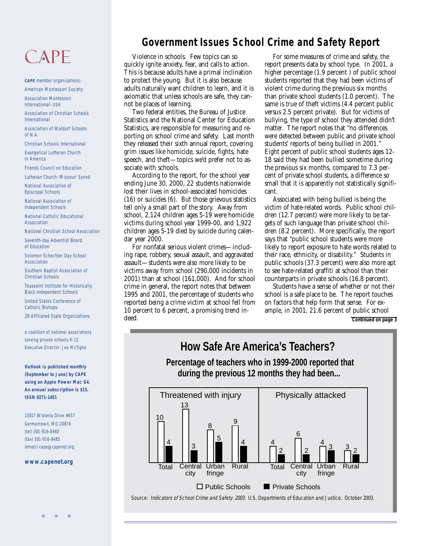## $CAPF$

**CAPE** member organizations: American Montessori Society

Association Montessori International–USA

Association of Christian Schools International

Association of Waldorf Schools of N.A.

Christian Schools International

Evangelical Lutheran Church in America

Friends Council on Education

Lutheran Church–Missouri Synod

National Association of Episcopal Schools

National Association of Independent Schools

National Catholic Educational Association

National Christian School Association

Seventh-day Adventist Board of Education

Solomon Schechter Day School Association

Southern Baptist Association of Christian Schools

Toussaint Institute for Historically Black Independent Schools

United States Conference of Catholic Bishops

28 Affiliated State Organizations

a coalition of national associations serving private schools K-12 Executive Director: Joe McTighe

**Outlook is published monthly (September to June) by CAPE using an Apple Power Mac G4. An annual subscription is \$15. ISSN 0271-1451**

13017 Wisteria Drive #457 Germantown, MD 20874 (tel) 301-916-8460 (fax) 301-916-8485 (email) cape@capenet.org

**[www.capenet.org](http://www.capenet.org/index.html)**

#### **Government Issues School Crime and Safety Report**

Violence in schools. Few topics can so quickly ignite anxiety, fear, and calls to action. This is because adults have a primal inclination to protect the young. But it is also because adults naturally want children to learn, and it is axiomatic that unless schools are safe, they cannot be places of learning.

Two federal entities, the Bureau of Justice Statistics and the National Center for Education Statistics, are responsible for measuring and reporting on school crime and safety. Last month they released their sixth annual report, covering grim issues like homicide, suicide, fights, hate speech, and theft—topics we'd prefer not to associate with schools.

According to the report, for the school year ending June 30, 2000, 22 students nationwide lost their lives in school-associated homicides (16) or suicides (6). But those grievous statistics tell only a small part of the story. Away from school, 2,124 children ages 5-19 were homicide victims during school year 1999-00, and 1,922 children ages 5-19 died by suicide during calendar year 2000.

For nonfatal serious violent crimes—including rape, robbery, sexual assault, and aggravated assault—students were also more likely to be victims away from school (290,000 incidents in 2001) than at school (161,000). And for school crime in general, the report notes that between 1995 and 2001, the percentage of students who reported being a crime victim at school fell from 10 percent to 6 percent, a promising trend indeed.

For some measures of crime and safety, the report presents data by school type. In 2001, a higher percentage (1.9 percent ) of public school students reported that they had been victims of violent crime during the previous six months than private school students (1.0 percent). The same is true of theft victims (4.4 percent public versus 2.5 percent private). But for victims of bullying, the type of school they attended didn't matter. The report notes that "no differences were detected between public and private school students' reports of being bullied in 2001." Eight percent of public school students ages 12- 18 said they had been bullied sometime during the previous six months, compared to 7.3 percent of private school students, a difference so small that it is apparently not statistically significant.

Associated with being bullied is being the victim of hate-related words. Public school children (12.7 percent) were more likely to be targets of such language than private school children (8.2 percent). More specifically, the report says that "public school students were more likely to report exposure to hate words related to their race, ethnicity, or disability." Students in public schools (37.3 percent) were also more apt to see hate-related graffiti at school than their counterparts in private schools (16.8 percent).

Students have a sense of whether or not their school is a safe place to be. The report touches on factors that help form that sense. For example, in 2001, 21.6 percent of public school **Continued on page 3**

**How Safe Are America's Teachers?**

 **Percentage of teachers who in 1999-2000 reported that during the previous 12 months they had been...**



Source: Indicators of School Crime and Safety: 2003. U.S. Departments of Education and Justice. October 2003.

★ ★ ★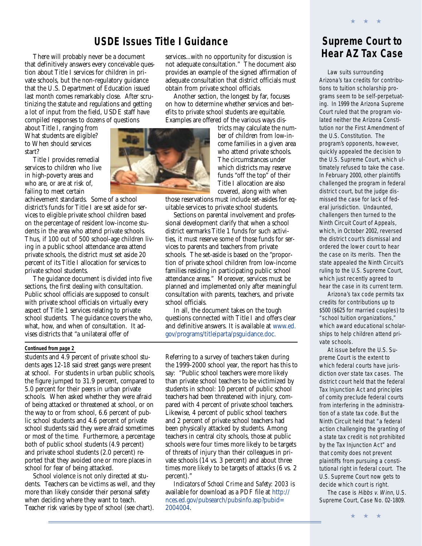#### **USDE Issues Title I Guidance**

There will probably never be a document that definitively answers every conceivable question about Title I services for children in private schools, but the non-regulatory guidance that the U.S. Department of Education issued last month comes remarkably close. After scrutinizing the statute and regulations and getting a lot of input from the field, USDE staff have compiled responses to dozens of questions

about Title I, ranging from What students are eligible? to When should services start?

Title I provides remedial services to children who live in high-poverty areas and who are, or are at risk of, failing to meet certain

achievement standards. Some of a school district's funds for Title I are set aside for services to eligible private school children based on the percentage of resident low-income students in the area who attend private schools. Thus, if 100 out of 500 school-age children living in a public school attendance area attend private schools, the district must set aside 20 percent of its Title I allocation for services to private school students.

The guidance document is divided into five sections, the first dealing with consultation. Public school officials are supposed to consult with private school officials on virtually every aspect of Title 1 services relating to private school students. The guidance covers the who, what, how, and when of consultation. It advises districts that "a unilateral offer of

services...with no opportunity for discussion is not adequate consultation." The document also provides an example of the signed affirmation of adequate consultation that district officials must obtain from private school officials.

Another section, the longest by far, focuses on how to determine whether services and benefits to private school students are equitable. Examples are offered of the various ways dis-



tricts may calculate the number of children from low-income families in a given area who attend private schools. The circumstances under which districts may reserve funds "off the top" of their Title I allocation are also covered, along with when

those reservations must include set-asides for equitable services to private school students.

Sections on parental involvement and professional development clarify that when a school district earmarks Title 1 funds for such activities, it must reserve some of those funds for services to parents and teachers from private schools. The set-aside is based on the "proportion of private school children from low-income families residing in participating public school attendance areas." Moreover, services must be planned and implemented only after meaningful consultation with parents, teachers, and private school officials.

In all, the document takes on the tough questions connected with Title I and offers clear and definitive answers. It is available at [www.ed.](http://www.ed.gov/programs/titleiparta/psguidance.doc) [gov/programs/titleiparta/psguidance.doc.](http://www.ed.gov/programs/titleiparta/psguidance.doc)

#### **Continued from page 2**

students and 4.9 percent of private school students ages 12-18 said street gangs were present at school. For students in urban public schools, the figure jumped to 31.9 percent, compared to 5.0 percent for their peers in urban private schools. When asked whether they were afraid of being attacked or threatened at school, or on the way to or from school, 6.6 percent of public school students and 4.6 percent of private school students said they were afraid sometimes or most of the time. Furthermore, a percentage both of public school students (4.9 percent) and private school students (2.0 percent) reported that they avoided one or more places in school for fear of being attacked.

School violence is not only directed at students. Teachers can be victims as well, and they more than likely consider their personal safety when deciding where they want to teach. Teacher risk varies by type of school (see chart).

Referring to a survey of teachers taken during the 1999-2000 school year, the report has this to say: "Public school teachers were more likely than private school teachers to be victimized by students in school: 10 percent of public school teachers had been threatened with injury, compared with 4 percent of private school teachers. Likewise, 4 percent of public school teachers and 2 percent of private school teachers had been physically attacked by students. Among teachers in central city schools, those at public schools were four times more likely to be targets of threats of injury than their colleagues in private schools (14 vs. 3 percent) and about three times more likely to be targets of attacks (6 vs. 2 percent)."

*Indicators of School Crime and Safety: 2003* is available for download as a PDF file at [http://](http://nces.ed.gov/pubsearch/pubsinfo.asp?pubid=2004004) [nces.ed.gov/pubsearch/pubsinfo.asp?pubid=](http://nces.ed.gov/pubsearch/pubsinfo.asp?pubid=2004004) [2004004](http://nces.ed.gov/pubsearch/pubsinfo.asp?pubid=2004004).



★ ★ ★

Law suits surrounding Arizona's tax credits for contributions to tuition scholarship programs seem to be self-perpetuating. In 1999 the Arizona Supreme Court ruled that the program violated neither the Arizona Constitution nor the First Amendment of the U.S. Constitution. The program's opponents, however, quickly appealed the decision to the U.S. Supreme Court, which ultimately refused to take the case. In February 2000, other plaintiffs challenged the program in federal district court, but the judge dismissed the case for lack of federal jurisdiction. Undaunted, challengers then turned to the Ninth Circuit Court of Appeals, which, in October 2002, reversed the district court's dismissal and ordered the lower court to hear the case on its merits. Then the state appealed the Ninth Circuit's ruling to the U.S. Supreme Court, which just recently agreed to hear the case in its current term.

Arizona's tax code permits tax credits for contributions up to \$500 (\$625 for married couples) to "school tuition organizations," which award educational scholarships to help children attend private schools.

At issue before the U.S. Supreme Court is the extent to which federal courts have jurisdiction over state tax cases. The district court held that the federal Tax Injunction Act and principles of comity preclude federal courts from interfering in the administration of a state tax code. But the Ninth Circuit held that "a federal action challenging the granting of a state tax credit is not prohibited by the Tax Injunction Act" and that comity does not prevent plaintiffs from pursuing a constitutional right in federal court. The U.S. Supreme Court now gets to decide which court is right.

The case is Hibbs v. Winn, U.S. Supreme Court, Case No. 02-1809.